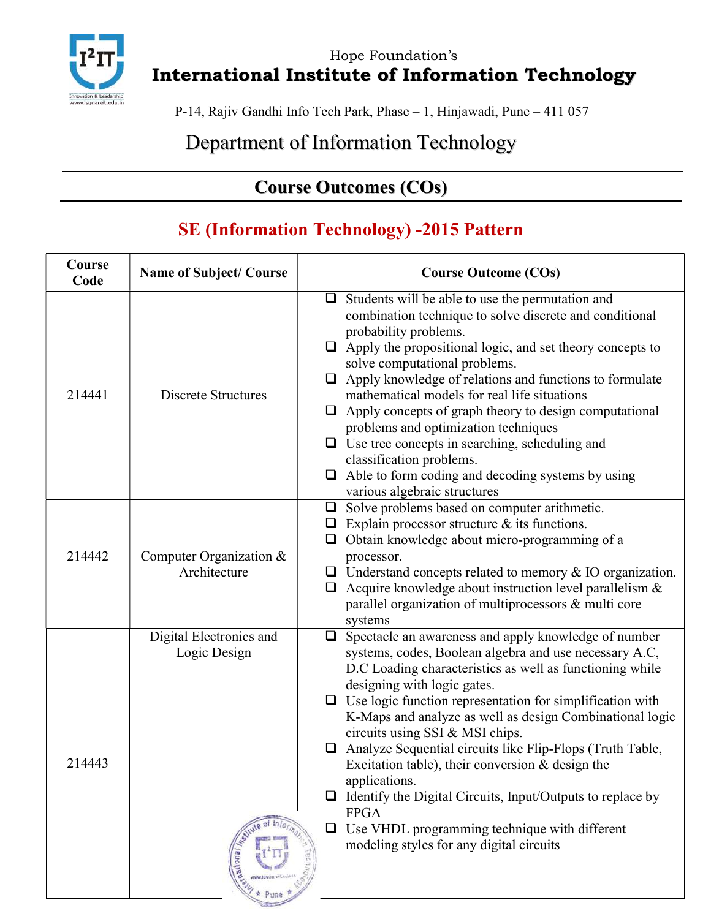

Hope Foundation's International Institute of Information Technology

P-14, Rajiv Gandhi Info Tech Park, Phase – 1, Hinjawadi, Pune – 411 057

## Department of Information Technology

## Course Outcomes (COs)

#### SE (Information Technology) -2015 Pattern

| Course<br>Code | <b>Name of Subject/Course</b>                    | <b>Course Outcome (COs)</b>                                                                                                                                                                                                                                                                                                                                                                                                                                                                                                                                                                                                                                                                              |
|----------------|--------------------------------------------------|----------------------------------------------------------------------------------------------------------------------------------------------------------------------------------------------------------------------------------------------------------------------------------------------------------------------------------------------------------------------------------------------------------------------------------------------------------------------------------------------------------------------------------------------------------------------------------------------------------------------------------------------------------------------------------------------------------|
| 214441         | <b>Discrete Structures</b>                       | $\Box$ Students will be able to use the permutation and<br>combination technique to solve discrete and conditional<br>probability problems.<br>$\Box$ Apply the propositional logic, and set theory concepts to<br>solve computational problems.<br>$\Box$ Apply knowledge of relations and functions to formulate<br>mathematical models for real life situations<br>$\Box$ Apply concepts of graph theory to design computational<br>problems and optimization techniques<br>$\Box$ Use tree concepts in searching, scheduling and<br>classification problems.<br>$\Box$ Able to form coding and decoding systems by using<br>various algebraic structures                                             |
| 214442         | Computer Organization $&$<br>Architecture        | $\Box$ Solve problems based on computer arithmetic.<br>$\Box$ Explain processor structure & its functions.<br>$\Box$ Obtain knowledge about micro-programming of a<br>processor.<br>$\Box$ Understand concepts related to memory & IO organization.<br>$\Box$ Acquire knowledge about instruction level parallelism &<br>parallel organization of multiprocessors & multi core<br>systems                                                                                                                                                                                                                                                                                                                |
| 214443         | Digital Electronics and<br>Logic Design<br>euona | $\Box$ Spectacle an awareness and apply knowledge of number<br>systems, codes, Boolean algebra and use necessary A.C,<br>D.C Loading characteristics as well as functioning while<br>designing with logic gates.<br>$\Box$ Use logic function representation for simplification with<br>K-Maps and analyze as well as design Combinational logic<br>circuits using SSI & MSI chips.<br>$\Box$ Analyze Sequential circuits like Flip-Flops (Truth Table,<br>Excitation table), their conversion $&$ design the<br>applications.<br>Identify the Digital Circuits, Input/Outputs to replace by<br><b>FPGA</b><br>Use VHDL programming technique with different<br>modeling styles for any digital circuits |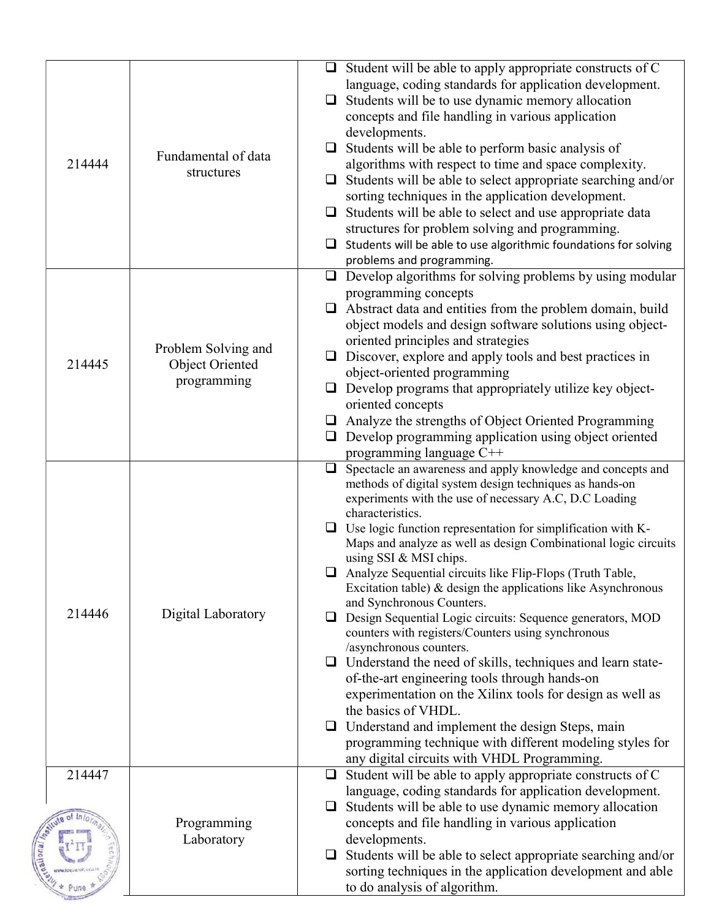| 214444 | Fundamental of data<br>structures                     | ❏<br>$\Box$<br>❏ | $\Box$ Student will be able to apply appropriate constructs of C<br>language, coding standards for application development.<br>$\Box$ Students will be to use dynamic memory allocation<br>concepts and file handling in various application<br>developments.<br>Students will be able to perform basic analysis of<br>algorithms with respect to time and space complexity.<br>$\Box$ Students will be able to select appropriate searching and/or<br>sorting techniques in the application development.<br>Students will be able to select and use appropriate data<br>structures for problem solving and programming.<br>Students will be able to use algorithmic foundations for solving<br>problems and programming.                                                                                                                                                                                                                                                                                                                                     |
|--------|-------------------------------------------------------|------------------|---------------------------------------------------------------------------------------------------------------------------------------------------------------------------------------------------------------------------------------------------------------------------------------------------------------------------------------------------------------------------------------------------------------------------------------------------------------------------------------------------------------------------------------------------------------------------------------------------------------------------------------------------------------------------------------------------------------------------------------------------------------------------------------------------------------------------------------------------------------------------------------------------------------------------------------------------------------------------------------------------------------------------------------------------------------|
| 214445 | Problem Solving and<br>Object Oriented<br>programming | ❏                | $\Box$ Develop algorithms for solving problems by using modular<br>programming concepts<br>$\Box$ Abstract data and entities from the problem domain, build<br>object models and design software solutions using object-<br>oriented principles and strategies<br>Discover, explore and apply tools and best practices in<br>object-oriented programming<br>$\Box$ Develop programs that appropriately utilize key object-<br>oriented concepts<br>$\Box$ Analyze the strengths of Object Oriented Programming<br>Develop programming application using object oriented<br>programming language C++                                                                                                                                                                                                                                                                                                                                                                                                                                                           |
| 214446 | Digital Laboratory                                    | $\Box$<br>⊔      | Spectacle an awareness and apply knowledge and concepts and<br>methods of digital system design techniques as hands-on<br>experiments with the use of necessary A.C, D.C Loading<br>characteristics.<br>$\Box$ Use logic function representation for simplification with K-<br>Maps and analyze as well as design Combinational logic circuits<br>using SSI & MSI chips.<br>Analyze Sequential circuits like Flip-Flops (Truth Table,<br>Excitation table) $\&$ design the applications like Asynchronous<br>and Synchronous Counters.<br>Design Sequential Logic circuits: Sequence generators, MOD<br>counters with registers/Counters using synchronous<br>/asynchronous counters.<br>$\Box$ Understand the need of skills, techniques and learn state-<br>of-the-art engineering tools through hands-on<br>experimentation on the Xilinx tools for design as well as<br>the basics of VHDL.<br>Understand and implement the design Steps, main<br>programming technique with different modeling styles for<br>any digital circuits with VHDL Programming. |
| 214447 | Programming<br>Laboratory                             | $\Box$<br>⊔      | Student will be able to apply appropriate constructs of C<br>language, coding standards for application development.<br>Students will be able to use dynamic memory allocation<br>concepts and file handling in various application<br>developments.<br>$\Box$ Students will be able to select appropriate searching and/or<br>sorting techniques in the application development and able<br>to do analysis of algorithm.                                                                                                                                                                                                                                                                                                                                                                                                                                                                                                                                                                                                                                     |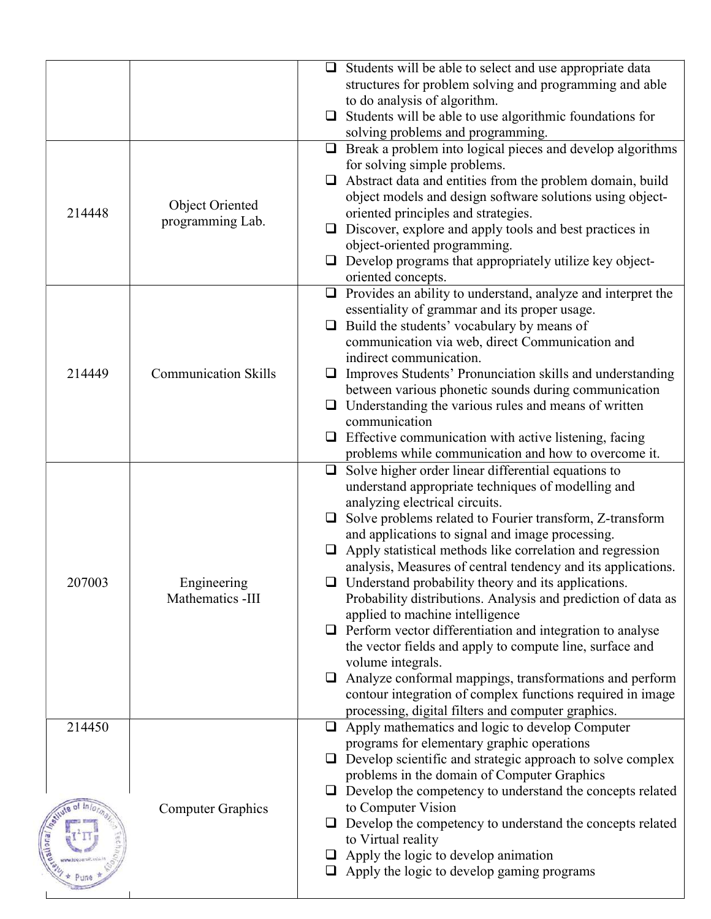|        |                             | $\Box$ Students will be able to select and use appropriate data     |
|--------|-----------------------------|---------------------------------------------------------------------|
|        |                             | structures for problem solving and programming and able             |
|        |                             | to do analysis of algorithm.                                        |
|        |                             | $\Box$ Students will be able to use algorithmic foundations for     |
|        |                             | solving problems and programming.                                   |
|        |                             | $\Box$ Break a problem into logical pieces and develop algorithms   |
|        |                             | for solving simple problems.                                        |
|        |                             | $\Box$ Abstract data and entities from the problem domain, build    |
|        |                             | object models and design software solutions using object-           |
| 214448 | <b>Object Oriented</b>      | oriented principles and strategies.                                 |
|        | programming Lab.            | $\Box$ Discover, explore and apply tools and best practices in      |
|        |                             | object-oriented programming.                                        |
|        |                             | $\Box$ Develop programs that appropriately utilize key object-      |
|        |                             | oriented concepts.                                                  |
|        |                             | $\Box$ Provides an ability to understand, analyze and interpret the |
|        |                             | essentiality of grammar and its proper usage.                       |
|        |                             | $\Box$ Build the students' vocabulary by means of                   |
|        |                             | communication via web, direct Communication and                     |
|        |                             | indirect communication.                                             |
| 214449 | <b>Communication Skills</b> | $\Box$ Improves Students' Pronunciation skills and understanding    |
|        |                             | between various phonetic sounds during communication                |
|        |                             | $\Box$ Understanding the various rules and means of written         |
|        |                             | communication                                                       |
|        |                             | Effective communication with active listening, facing<br>⊔          |
|        |                             | problems while communication and how to overcome it.                |
|        |                             | $\Box$ Solve higher order linear differential equations to          |
|        |                             | understand appropriate techniques of modelling and                  |
|        |                             | analyzing electrical circuits.                                      |
|        |                             | $\Box$ Solve problems related to Fourier transform, Z-transform     |
|        |                             | and applications to signal and image processing.                    |
|        |                             | $\Box$ Apply statistical methods like correlation and regression    |
|        |                             | analysis, Measures of central tendency and its applications.        |
| 207003 | Engineering                 | $\Box$ Understand probability theory and its applications.          |
|        | Mathematics -III            | Probability distributions. Analysis and prediction of data as       |
|        |                             | applied to machine intelligence                                     |
|        |                             | $\Box$ Perform vector differentiation and integration to analyse    |
|        |                             | the vector fields and apply to compute line, surface and            |
|        |                             | volume integrals.                                                   |
|        |                             | $\Box$ Analyze conformal mappings, transformations and perform      |
|        |                             | contour integration of complex functions required in image          |
|        |                             | processing, digital filters and computer graphics.                  |
| 214450 |                             | $\Box$ Apply mathematics and logic to develop Computer              |
|        |                             | programs for elementary graphic operations                          |
|        |                             | $\Box$ Develop scientific and strategic approach to solve complex   |
|        |                             | problems in the domain of Computer Graphics                         |
|        |                             | $\Box$ Develop the competency to understand the concepts related    |
|        |                             | to Computer Vision                                                  |
|        | <b>Computer Graphics</b>    | $\Box$ Develop the competency to understand the concepts related    |
|        |                             | to Virtual reality                                                  |
|        |                             | $\Box$ Apply the logic to develop animation                         |
|        |                             | $\Box$ Apply the logic to develop gaming programs                   |
|        |                             |                                                                     |
|        |                             |                                                                     |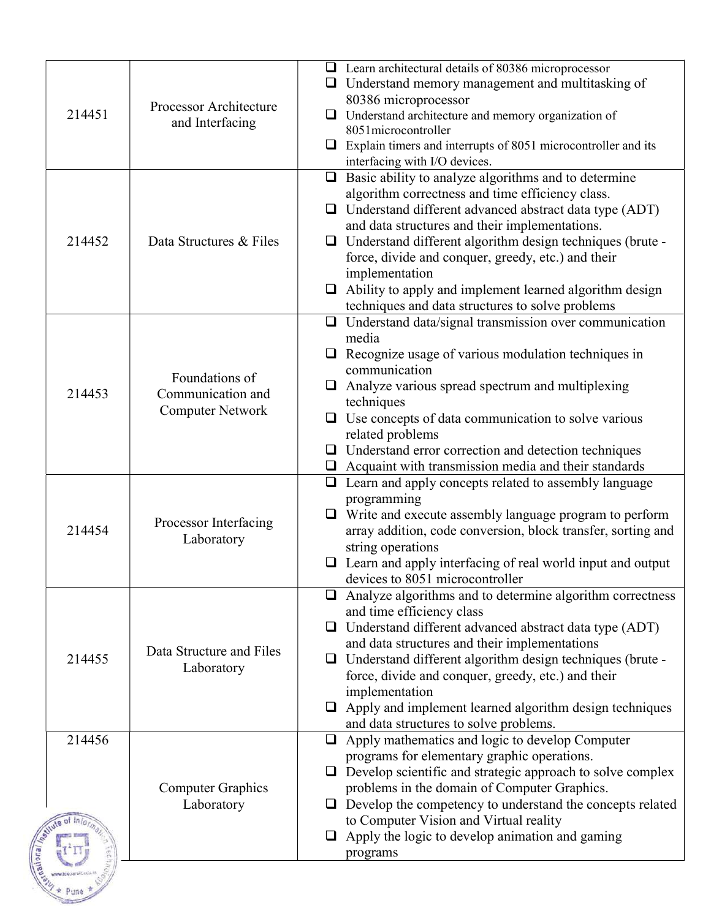|        |                          | $\Box$ Learn architectural details of 80386 microprocessor                                                         |
|--------|--------------------------|--------------------------------------------------------------------------------------------------------------------|
|        |                          | $\Box$ Understand memory management and multitasking of                                                            |
|        |                          | 80386 microprocessor                                                                                               |
| 214451 | Processor Architecture   | $\Box$ Understand architecture and memory organization of                                                          |
|        | and Interfacing          | 8051 microcontroller                                                                                               |
|        |                          | $\Box$ Explain timers and interrupts of 8051 microcontroller and its                                               |
|        |                          | interfacing with I/O devices.                                                                                      |
|        |                          | $\Box$ Basic ability to analyze algorithms and to determine                                                        |
|        |                          | algorithm correctness and time efficiency class.                                                                   |
|        |                          | $\Box$ Understand different advanced abstract data type (ADT)                                                      |
| 214452 | Data Structures & Files  | and data structures and their implementations.<br>$\Box$ Understand different algorithm design techniques (brute - |
|        |                          | force, divide and conquer, greedy, etc.) and their                                                                 |
|        |                          | implementation                                                                                                     |
|        |                          | $\Box$ Ability to apply and implement learned algorithm design                                                     |
|        |                          | techniques and data structures to solve problems                                                                   |
|        |                          | $\Box$ Understand data/signal transmission over communication                                                      |
|        |                          | media                                                                                                              |
|        |                          | $\Box$ Recognize usage of various modulation techniques in                                                         |
|        | Foundations of           | communication<br>$\Box$ Analyze various spread spectrum and multiplexing                                           |
| 214453 | Communication and        | techniques                                                                                                         |
|        | <b>Computer Network</b>  | $\Box$ Use concepts of data communication to solve various                                                         |
|        |                          | related problems                                                                                                   |
|        |                          | $\Box$ Understand error correction and detection techniques                                                        |
|        |                          | $\Box$ Acquaint with transmission media and their standards                                                        |
|        |                          | $\Box$ Learn and apply concepts related to assembly language                                                       |
|        |                          | programming                                                                                                        |
| 214454 | Processor Interfacing    | $\Box$ Write and execute assembly language program to perform                                                      |
|        | Laboratory               | array addition, code conversion, block transfer, sorting and<br>string operations                                  |
|        |                          | $\Box$ Learn and apply interfacing of real world input and output                                                  |
|        |                          | devices to 8051 microcontroller                                                                                    |
|        |                          | $\Box$ Analyze algorithms and to determine algorithm correctness                                                   |
|        |                          | and time efficiency class                                                                                          |
|        |                          | $\Box$ Understand different advanced abstract data type (ADT)                                                      |
|        | Data Structure and Files | and data structures and their implementations                                                                      |
| 214455 | Laboratory               | $\Box$ Understand different algorithm design techniques (brute -                                                   |
|        |                          | force, divide and conquer, greedy, etc.) and their<br>implementation                                               |
|        |                          | $\Box$ Apply and implement learned algorithm design techniques                                                     |
|        |                          | and data structures to solve problems.                                                                             |
| 214456 |                          | $\Box$ Apply mathematics and logic to develop Computer                                                             |
|        |                          | programs for elementary graphic operations.                                                                        |
|        |                          | $\Box$ Develop scientific and strategic approach to solve complex                                                  |
|        | <b>Computer Graphics</b> | problems in the domain of Computer Graphics.                                                                       |
|        | Laboratory               | $\Box$ Develop the competency to understand the concepts related<br>to Computer Vision and Virtual reality         |
|        |                          | Apply the logic to develop animation and gaming                                                                    |
|        |                          | programs                                                                                                           |
|        |                          |                                                                                                                    |
|        |                          |                                                                                                                    |
|        |                          |                                                                                                                    |
|        |                          |                                                                                                                    |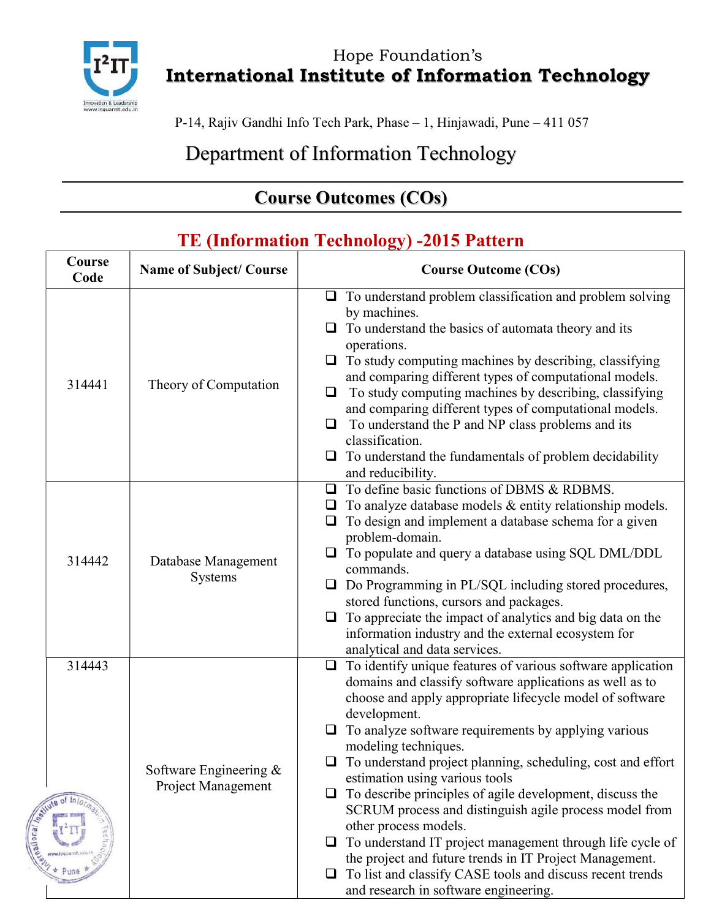

Hope Foundation's International Institute of Information Technology

P-14, Rajiv Gandhi Info Tech Park, Phase – 1, Hinjawadi, Pune – 411 057

Department of Information Technology

## Course Outcomes (COs)

| Course<br>Code | <b>Name of Subject/Course</b>                | <b>Course Outcome (COs)</b>                                                                                                                                                                                                                                                                                                                                                                                                                                                                                                                                                                                                                                                                                                                                                           |
|----------------|----------------------------------------------|---------------------------------------------------------------------------------------------------------------------------------------------------------------------------------------------------------------------------------------------------------------------------------------------------------------------------------------------------------------------------------------------------------------------------------------------------------------------------------------------------------------------------------------------------------------------------------------------------------------------------------------------------------------------------------------------------------------------------------------------------------------------------------------|
| 314441         | Theory of Computation                        | $\Box$ To understand problem classification and problem solving<br>by machines.<br>To understand the basics of automata theory and its<br>operations.<br>To study computing machines by describing, classifying<br>□<br>and comparing different types of computational models.<br>To study computing machines by describing, classifying<br>$\Box$<br>and comparing different types of computational models.<br>To understand the P and NP class problems and its<br>$\Box$<br>classification.<br>$\Box$ To understand the fundamentals of problem decidability<br>and reducibility.                                                                                                                                                                                                  |
| 314442         | Database Management<br>Systems               | To define basic functions of DBMS & RDBMS.<br>◻<br>To analyze database models & entity relationship models.<br>❏<br>To design and implement a database schema for a given<br>problem-domain.<br>To populate and query a database using SQL DML/DDL<br>commands.<br>Do Programming in PL/SQL including stored procedures,<br>$\Box$<br>stored functions, cursors and packages.<br>To appreciate the impact of analytics and big data on the<br>$\Box$<br>information industry and the external ecosystem for<br>analytical and data services.                                                                                                                                                                                                                                          |
| 314443         | Software Engineering &<br>Project Management | To identify unique features of various software application<br>$\Box$<br>domains and classify software applications as well as to<br>choose and apply appropriate lifecycle model of software<br>development.<br>To analyze software requirements by applying various<br>$\Box$<br>modeling techniques.<br>To understand project planning, scheduling, cost and effort<br>estimation using various tools<br>To describe principles of agile development, discuss the<br>SCRUM process and distinguish agile process model from<br>other process models.<br>To understand IT project management through life cycle of<br>the project and future trends in IT Project Management.<br>To list and classify CASE tools and discuss recent trends<br>and research in software engineering. |

#### TE (Information Technology) -2015 Pattern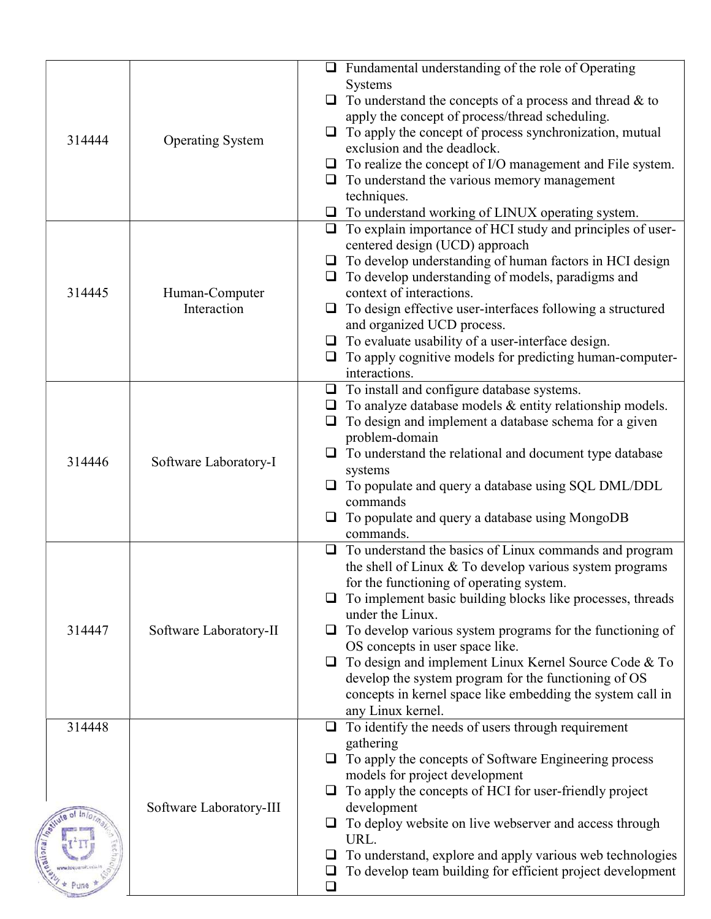|        |                               | $\Box$ Fundamental understanding of the role of Operating<br>Systems<br>$\Box$ To understand the concepts of a process and thread & to         |
|--------|-------------------------------|------------------------------------------------------------------------------------------------------------------------------------------------|
| 314444 | <b>Operating System</b>       | apply the concept of process/thread scheduling.<br>To apply the concept of process synchronization, mutual<br>ப<br>exclusion and the deadlock. |
|        |                               | $\Box$ To realize the concept of I/O management and File system.<br>$\Box$ To understand the various memory management                         |
|        |                               | techniques.<br>$\Box$ To understand working of LINUX operating system.                                                                         |
|        |                               | $\Box$ To explain importance of HCI study and principles of user-<br>centered design (UCD) approach                                            |
|        |                               | $\Box$ To develop understanding of human factors in HCI design                                                                                 |
|        |                               | $\Box$ To develop understanding of models, paradigms and                                                                                       |
| 314445 | Human-Computer<br>Interaction | context of interactions.<br>$\Box$ To design effective user-interfaces following a structured                                                  |
|        |                               | and organized UCD process.                                                                                                                     |
|        |                               | $\Box$ To evaluate usability of a user-interface design.                                                                                       |
|        |                               | To apply cognitive models for predicting human-computer-<br>$\Box$<br>interactions.                                                            |
|        |                               | $\Box$ To install and configure database systems.                                                                                              |
|        |                               | To analyze database models & entity relationship models.<br>⊔<br>To design and implement a database schema for a given<br>❏                    |
|        |                               | problem-domain                                                                                                                                 |
| 314446 | Software Laboratory-I         | To understand the relational and document type database                                                                                        |
|        |                               | systems<br>$\Box$ To populate and query a database using SQL DML/DDL                                                                           |
|        |                               | commands<br>To populate and query a database using MongoDB<br>⊔                                                                                |
|        |                               | commands.                                                                                                                                      |
|        |                               | To understand the basics of Linux commands and program<br>$\Box$<br>the shell of Linux & To develop various system programs                    |
|        |                               | for the functioning of operating system.<br>To implement basic building blocks like processes, threads                                         |
|        |                               | under the Linux.                                                                                                                               |
| 314447 | Software Laboratory-II        | To develop various system programs for the functioning of<br>⊔                                                                                 |
|        |                               | OS concepts in user space like.<br>To design and implement Linux Kernel Source Code & To<br>$\Box$                                             |
|        |                               | develop the system program for the functioning of OS                                                                                           |
|        |                               | concepts in kernel space like embedding the system call in<br>any Linux kernel.                                                                |
| 314448 |                               | To identify the needs of users through requirement<br>$\Box$                                                                                   |
|        |                               | gathering<br>To apply the concepts of Software Engineering process                                                                             |
|        |                               | models for project development                                                                                                                 |
|        | Software Laboratory-III       | To apply the concepts of HCI for user-friendly project<br>development                                                                          |
|        |                               | To deploy website on live webserver and access through<br>URL.                                                                                 |
|        |                               | To understand, explore and apply various web technologies                                                                                      |
|        |                               | To develop team building for efficient project development                                                                                     |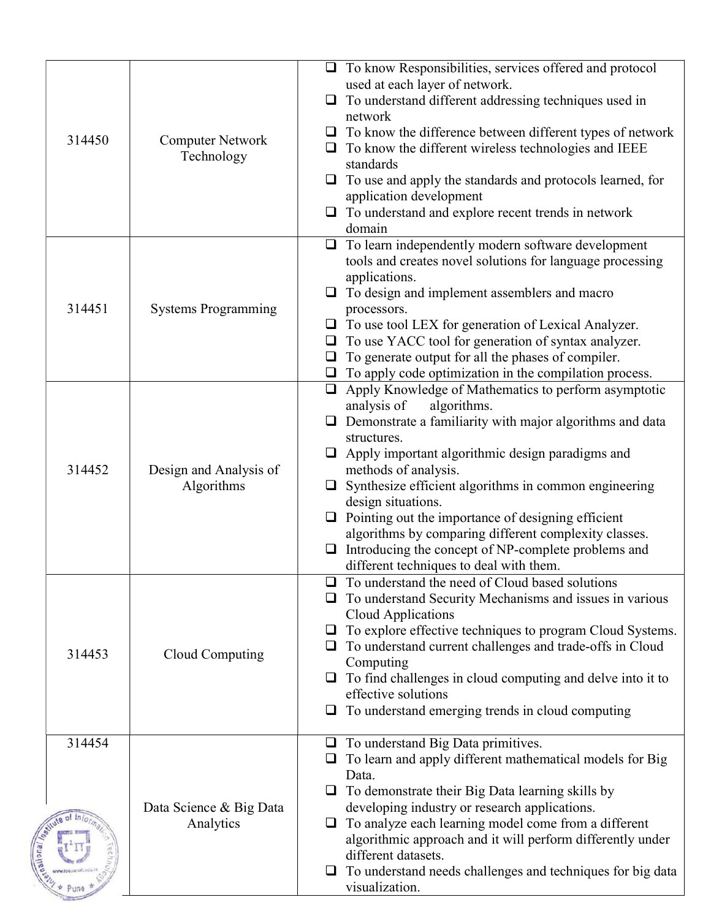| 314450 | <b>Computer Network</b><br>Technology | $\Box$ To know Responsibilities, services offered and protocol<br>used at each layer of network.<br>To understand different addressing techniques used in<br>$\Box$<br>network<br>To know the difference between different types of network<br>❏<br>$\Box$ To know the different wireless technologies and IEEE<br>standards<br>To use and apply the standards and protocols learned, for<br>⊔<br>application development<br>To understand and explore recent trends in network<br>domain                                                                                           |
|--------|---------------------------------------|-------------------------------------------------------------------------------------------------------------------------------------------------------------------------------------------------------------------------------------------------------------------------------------------------------------------------------------------------------------------------------------------------------------------------------------------------------------------------------------------------------------------------------------------------------------------------------------|
| 314451 | <b>Systems Programming</b>            | To learn independently modern software development<br>$\Box$<br>tools and creates novel solutions for language processing<br>applications.<br>To design and implement assemblers and macro<br>processors.<br>To use tool LEX for generation of Lexical Analyzer.<br>$\Box$<br>To use YACC tool for generation of syntax analyzer.<br>$\Box$<br>To generate output for all the phases of compiler.<br>❏<br>To apply code optimization in the compilation process.<br>$\Box$                                                                                                          |
| 314452 | Design and Analysis of<br>Algorithms  | Apply Knowledge of Mathematics to perform asymptotic<br>$\Box$<br>algorithms.<br>analysis of<br>Demonstrate a familiarity with major algorithms and data<br>$\Box$<br>structures.<br>Apply important algorithmic design paradigms and<br>$\Box$<br>methods of analysis.<br>Synthesize efficient algorithms in common engineering<br>design situations.<br>$\Box$ Pointing out the importance of designing efficient<br>algorithms by comparing different complexity classes.<br>Introducing the concept of NP-complete problems and<br>❏<br>different techniques to deal with them. |
| 314453 | Cloud Computing                       | To understand the need of Cloud based solutions<br>To understand Security Mechanisms and issues in various<br>Cloud Applications<br>To explore effective techniques to program Cloud Systems.<br>$\Box$<br>To understand current challenges and trade-offs in Cloud<br>Computing<br>To find challenges in cloud computing and delve into it to<br>effective solutions<br>To understand emerging trends in cloud computing<br>$\Box$                                                                                                                                                 |
| 314454 | Data Science & Big Data<br>Analytics  | To understand Big Data primitives.<br>$\Box$<br>To learn and apply different mathematical models for Big<br>Data.<br>To demonstrate their Big Data learning skills by<br>⊔<br>developing industry or research applications.<br>To analyze each learning model come from a different<br>$\Box$<br>algorithmic approach and it will perform differently under<br>different datasets.<br>To understand needs challenges and techniques for big data<br>⊔<br>visualization.                                                                                                             |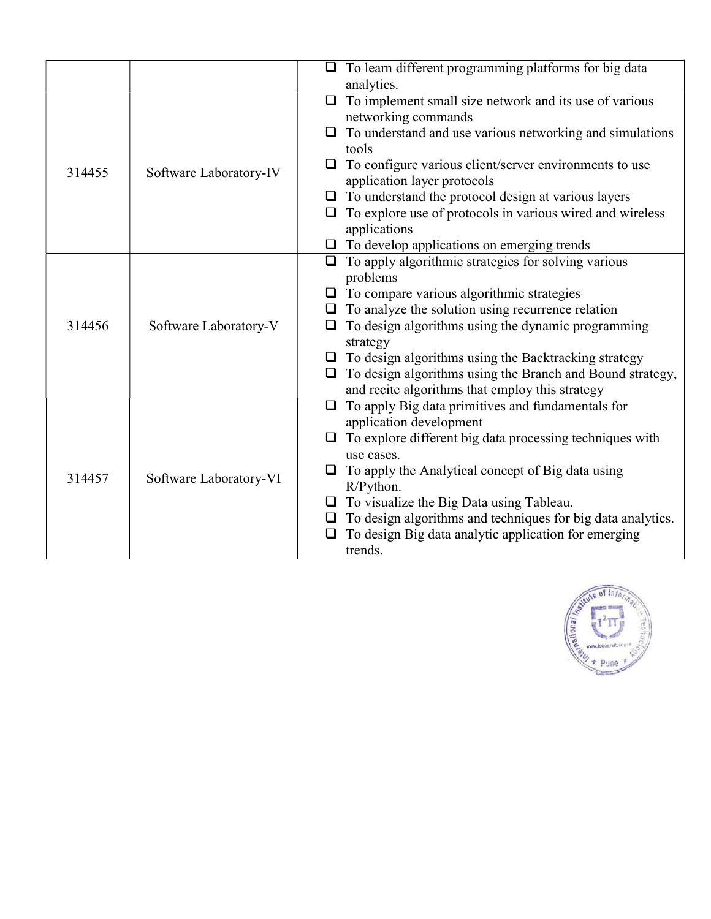|        |                        | To learn different programming platforms for big data         |
|--------|------------------------|---------------------------------------------------------------|
|        |                        | analytics.                                                    |
|        |                        | $\Box$ To implement small size network and its use of various |
|        |                        | networking commands                                           |
|        |                        | To understand and use various networking and simulations      |
|        |                        | tools                                                         |
| 314455 | Software Laboratory-IV | To configure various client/server environments to use<br>⊔   |
|        |                        | application layer protocols                                   |
|        |                        | $\Box$ To understand the protocol design at various layers    |
|        |                        | To explore use of protocols in various wired and wireless     |
|        |                        | applications                                                  |
|        |                        | To develop applications on emerging trends<br>$\Box$          |
|        |                        | To apply algorithmic strategies for solving various<br>$\Box$ |
|        |                        | problems                                                      |
|        |                        | To compare various algorithmic strategies                     |
|        | Software Laboratory-V  | To analyze the solution using recurrence relation<br>⊔        |
| 314456 |                        | To design algorithms using the dynamic programming            |
|        |                        | strategy                                                      |
|        |                        | $\Box$ To design algorithms using the Backtracking strategy   |
|        |                        | To design algorithms using the Branch and Bound strategy,     |
|        |                        | and recite algorithms that employ this strategy               |
|        |                        | To apply Big data primitives and fundamentals for<br>$\Box$   |
|        |                        | application development                                       |
|        |                        | To explore different big data processing techniques with      |
|        |                        | use cases.                                                    |
| 314457 | Software Laboratory-VI | To apply the Analytical concept of Big data using             |
|        |                        | R/Python.                                                     |
|        |                        | To visualize the Big Data using Tableau.<br>$\Box$            |
|        |                        | To design algorithms and techniques for big data analytics.   |
|        |                        | To design Big data analytic application for emerging          |
|        |                        | trends.                                                       |

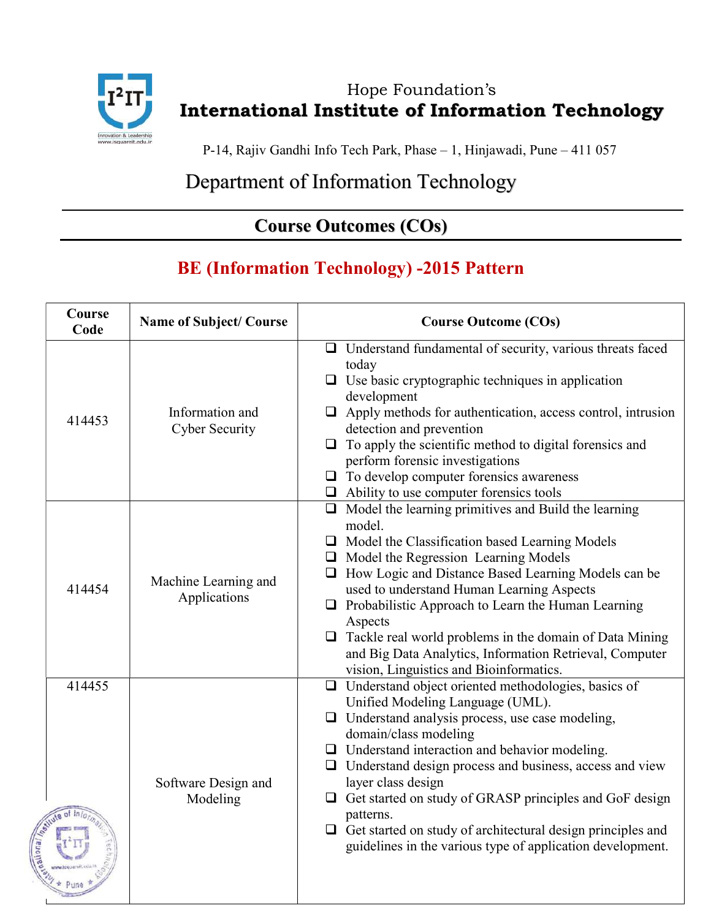

dional

#### Hope Foundation's International Institute of Information Technology

P-14, Rajiv Gandhi Info Tech Park, Phase – 1, Hinjawadi, Pune – 411 057

# Department of Information Technology

### Course Outcomes (COs)

## BE (Information Technology) -2015 Pattern

| Course<br>Code | <b>Name of Subject/ Course</b>           | <b>Course Outcome (COs)</b>                                                                                                                                                                                                                                                                                                                                                                                                                                                                                                                   |
|----------------|------------------------------------------|-----------------------------------------------------------------------------------------------------------------------------------------------------------------------------------------------------------------------------------------------------------------------------------------------------------------------------------------------------------------------------------------------------------------------------------------------------------------------------------------------------------------------------------------------|
| 414453         | Information and<br><b>Cyber Security</b> | $\Box$ Understand fundamental of security, various threats faced<br>today<br>$\Box$ Use basic cryptographic techniques in application<br>development<br>$\Box$ Apply methods for authentication, access control, intrusion<br>detection and prevention<br>$\Box$ To apply the scientific method to digital forensics and<br>perform forensic investigations<br>$\Box$ To develop computer forensics awareness<br>$\Box$ Ability to use computer forensics tools                                                                               |
| 414454         | Machine Learning and<br>Applications     | $\Box$ Model the learning primitives and Build the learning<br>model.<br>$\Box$ Model the Classification based Learning Models<br>Model the Regression Learning Models<br>$\Box$ How Logic and Distance Based Learning Models can be<br>used to understand Human Learning Aspects<br>$\Box$ Probabilistic Approach to Learn the Human Learning<br>Aspects<br>$\Box$ Tackle real world problems in the domain of Data Mining<br>and Big Data Analytics, Information Retrieval, Computer<br>vision, Linguistics and Bioinformatics.             |
| 414455         | Software Design and<br>Modeling          | $\Box$ Understand object oriented methodologies, basics of<br>Unified Modeling Language (UML).<br>$\Box$ Understand analysis process, use case modeling,<br>domain/class modeling<br>$\Box$ Understand interaction and behavior modeling.<br>$\Box$ Understand design process and business, access and view<br>layer class design<br>Get started on study of GRASP principles and GoF design<br>patterns.<br>$\Box$ Get started on study of architectural design principles and<br>guidelines in the various type of application development. |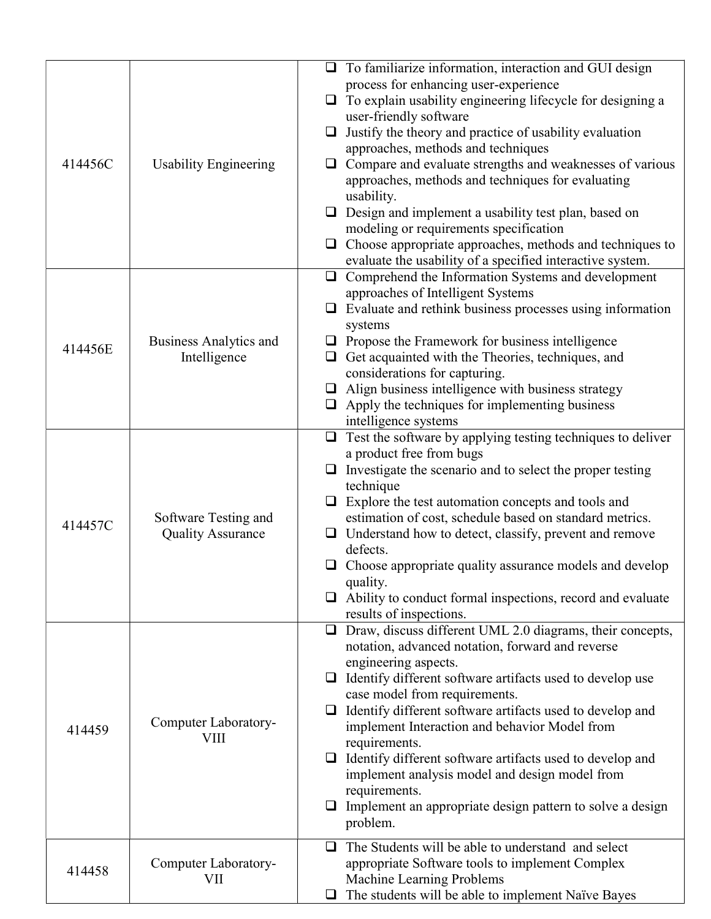|         |                                     | $\Box$ To familiarize information, interaction and GUI design<br>process for enhancing user-experience                 |
|---------|-------------------------------------|------------------------------------------------------------------------------------------------------------------------|
|         |                                     | $\Box$ To explain usability engineering lifecycle for designing a                                                      |
|         |                                     | user-friendly software                                                                                                 |
|         |                                     | $\Box$ Justify the theory and practice of usability evaluation                                                         |
| 414456C | <b>Usability Engineering</b>        | approaches, methods and techniques<br>$\Box$ Compare and evaluate strengths and weaknesses of various                  |
|         |                                     | approaches, methods and techniques for evaluating                                                                      |
|         |                                     | usability.                                                                                                             |
|         |                                     | $\Box$ Design and implement a usability test plan, based on                                                            |
|         |                                     | modeling or requirements specification                                                                                 |
|         |                                     | $\Box$ Choose appropriate approaches, methods and techniques to                                                        |
|         |                                     | evaluate the usability of a specified interactive system.<br>$\Box$ Comprehend the Information Systems and development |
|         |                                     | approaches of Intelligent Systems                                                                                      |
|         |                                     | $\Box$ Evaluate and rethink business processes using information                                                       |
|         |                                     | systems                                                                                                                |
| 414456E | <b>Business Analytics and</b>       | $\Box$ Propose the Framework for business intelligence                                                                 |
|         | Intelligence                        | $\Box$ Get acquainted with the Theories, techniques, and<br>considerations for capturing.                              |
|         |                                     | $\Box$ Align business intelligence with business strategy                                                              |
|         |                                     | $\Box$ Apply the techniques for implementing business                                                                  |
|         |                                     | intelligence systems                                                                                                   |
|         |                                     | $\Box$ Test the software by applying testing techniques to deliver                                                     |
|         |                                     | a product free from bugs                                                                                               |
|         |                                     | $\Box$ Investigate the scenario and to select the proper testing<br>technique                                          |
|         |                                     | $\Box$ Explore the test automation concepts and tools and                                                              |
| 414457C | Software Testing and                | estimation of cost, schedule based on standard metrics.                                                                |
|         | <b>Quality Assurance</b>            | $\Box$ Understand how to detect, classify, prevent and remove                                                          |
|         |                                     | defects.<br>$\Box$ Choose appropriate quality assurance models and develop                                             |
|         |                                     | quality.                                                                                                               |
|         |                                     | $\Box$ Ability to conduct formal inspections, record and evaluate                                                      |
|         |                                     | results of inspections.                                                                                                |
|         |                                     | $\Box$ Draw, discuss different UML 2.0 diagrams, their concepts,                                                       |
|         |                                     | notation, advanced notation, forward and reverse<br>engineering aspects.                                               |
|         |                                     | $\Box$ Identify different software artifacts used to develop use                                                       |
|         |                                     | case model from requirements.                                                                                          |
|         |                                     | $\Box$ Identify different software artifacts used to develop and                                                       |
| 414459  | Computer Laboratory-<br><b>VIII</b> | implement Interaction and behavior Model from                                                                          |
|         |                                     | requirements.                                                                                                          |
|         |                                     | $\Box$ Identify different software artifacts used to develop and<br>implement analysis model and design model from     |
|         |                                     | requirements.                                                                                                          |
|         |                                     | $\Box$ Implement an appropriate design pattern to solve a design                                                       |
|         |                                     | problem.                                                                                                               |
|         |                                     | The Students will be able to understand and select<br>□                                                                |
| 414458  | Computer Laboratory-<br>VII         | appropriate Software tools to implement Complex                                                                        |
|         |                                     | Machine Learning Problems                                                                                              |
|         |                                     | $\Box$ The students will be able to implement Naïve Bayes                                                              |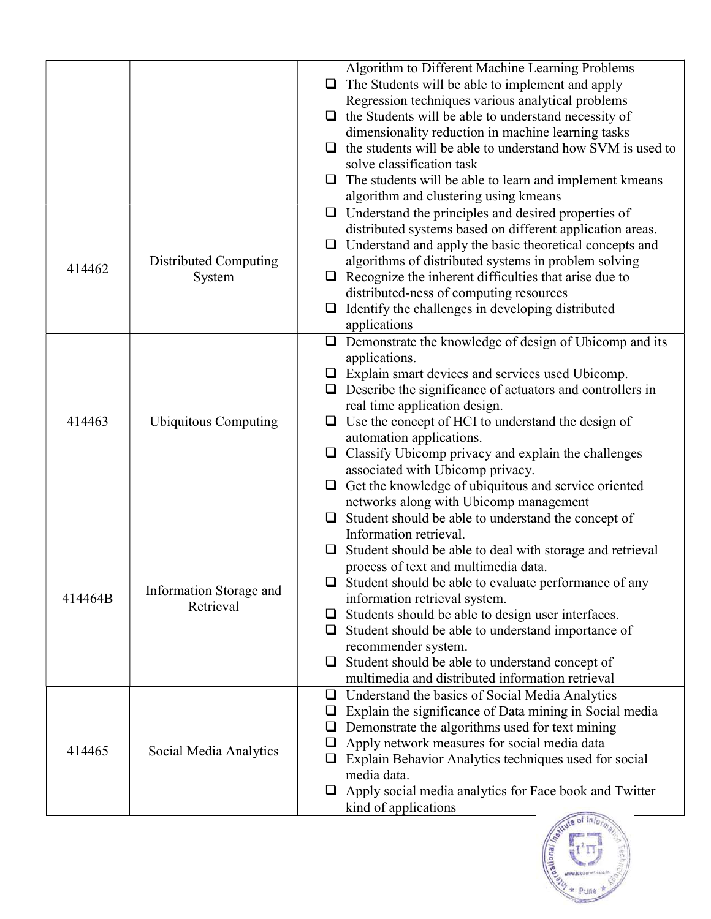|         |                             | Algorithm to Different Machine Learning Problems                 |
|---------|-----------------------------|------------------------------------------------------------------|
|         |                             | The Students will be able to implement and apply<br>❏            |
|         |                             | Regression techniques various analytical problems                |
|         |                             | $\Box$ the Students will be able to understand necessity of      |
|         |                             | dimensionality reduction in machine learning tasks               |
|         |                             | the students will be able to understand how SVM is used to       |
|         |                             | solve classification task                                        |
|         |                             | The students will be able to learn and implement kmeans<br>⊔     |
|         |                             | algorithm and clustering using kmeans                            |
|         |                             | Understand the principles and desired properties of<br>$\Box$    |
|         |                             | distributed systems based on different application areas.        |
|         |                             | Understand and apply the basic theoretical concepts and<br>⊔     |
|         | Distributed Computing       | algorithms of distributed systems in problem solving             |
| 414462  | System                      | Recognize the inherent difficulties that arise due to<br>⊔       |
|         |                             | distributed-ness of computing resources                          |
|         |                             | Identify the challenges in developing distributed<br>$\Box$      |
|         |                             | applications                                                     |
|         |                             | Demonstrate the knowledge of design of Ubicomp and its<br>$\Box$ |
|         |                             | applications.                                                    |
|         |                             |                                                                  |
|         |                             | Explain smart devices and services used Ubicomp.<br>⊔            |
|         |                             | Describe the significance of actuators and controllers in        |
|         |                             | real time application design.                                    |
| 414463  | <b>Ubiquitous Computing</b> | Use the concept of HCI to understand the design of<br>u          |
|         |                             | automation applications.                                         |
|         |                             | Classify Ubicomp privacy and explain the challenges<br>$\Box$    |
|         |                             | associated with Ubicomp privacy.                                 |
|         |                             | Get the knowledge of ubiquitous and service oriented             |
|         |                             | networks along with Ubicomp management                           |
|         |                             | Student should be able to understand the concept of<br>$\Box$    |
|         |                             | Information retrieval.                                           |
|         |                             | Student should be able to deal with storage and retrieval        |
|         |                             | process of text and multimedia data.                             |
|         |                             | Student should be able to evaluate performance of any<br>⊔       |
| 414464B | Information Storage and     | information retrieval system.                                    |
|         | Retrieval                   | Students should be able to design user interfaces.<br>⊔          |
|         |                             | Student should be able to understand importance of<br>⊔          |
|         |                             | recommender system.                                              |
|         |                             | Student should be able to understand concept of<br>⊔             |
|         |                             | multimedia and distributed information retrieval                 |
|         |                             | Understand the basics of Social Media Analytics<br>⊔             |
|         |                             | Explain the significance of Data mining in Social media<br>⊔     |
|         |                             |                                                                  |
|         |                             | Demonstrate the algorithms used for text mining<br>⊔             |
| 414465  | Social Media Analytics      | Apply network measures for social media data<br>□                |
|         |                             | Explain Behavior Analytics techniques used for social<br>$\Box$  |
|         |                             | media data.                                                      |
|         |                             | Apply social media analytics for Face book and Twitter<br>⊔      |
|         |                             | kind of applications                                             |